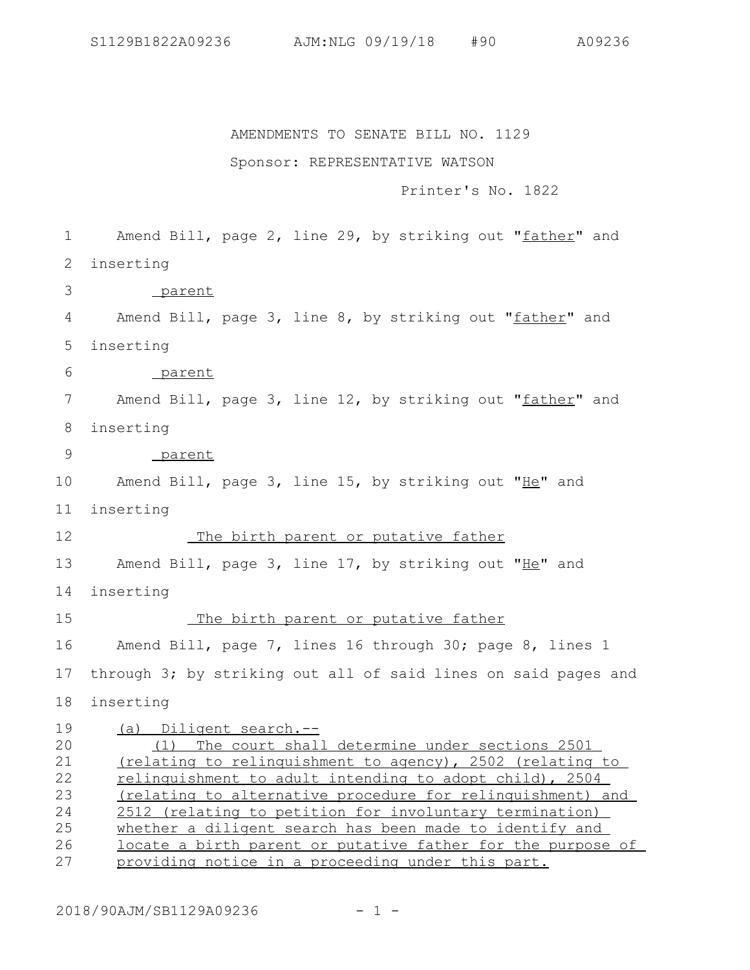S1129B1822A09236 AJM:NLG 09/19/18 #90 A09236

AMENDMENTS TO SENATE BILL NO. 1129

## Sponsor: REPRESENTATIVE WATSON

## Printer's No. 1822

Amend Bill, page 2, line 29, by striking out "father" and inserting 2 parent Amend Bill, page 3, line 8, by striking out "father" and inserting parent Amend Bill, page 3, line 12, by striking out "father" and inserting parent Amend Bill, page 3, line 15, by striking out "He" and inserting The birth parent or putative father Amend Bill, page 3, line 17, by striking out " $He$ " and inserting The birth parent or putative father Amend Bill, page 7, lines 16 through 30; page 8, lines 1 through 3; by striking out all of said lines on said pages and inserting (a) Diligent search.-- (1) The court shall determine under sections 2501 (relating to relinquishment to agency), 2502 (relating to relinquishment to adult intending to adopt child), 2504 (relating to alternative procedure for relinquishment) and 2512 (relating to petition for involuntary termination) whether a diligent search has been made to identify and locate a birth parent or putative father for the purpose of 1 3 4 5 6 7 8 9 10 11 12 13 14 15 16 17 18 19 20 21 22 23 24 25 26

providing notice in a proceeding under this part. 27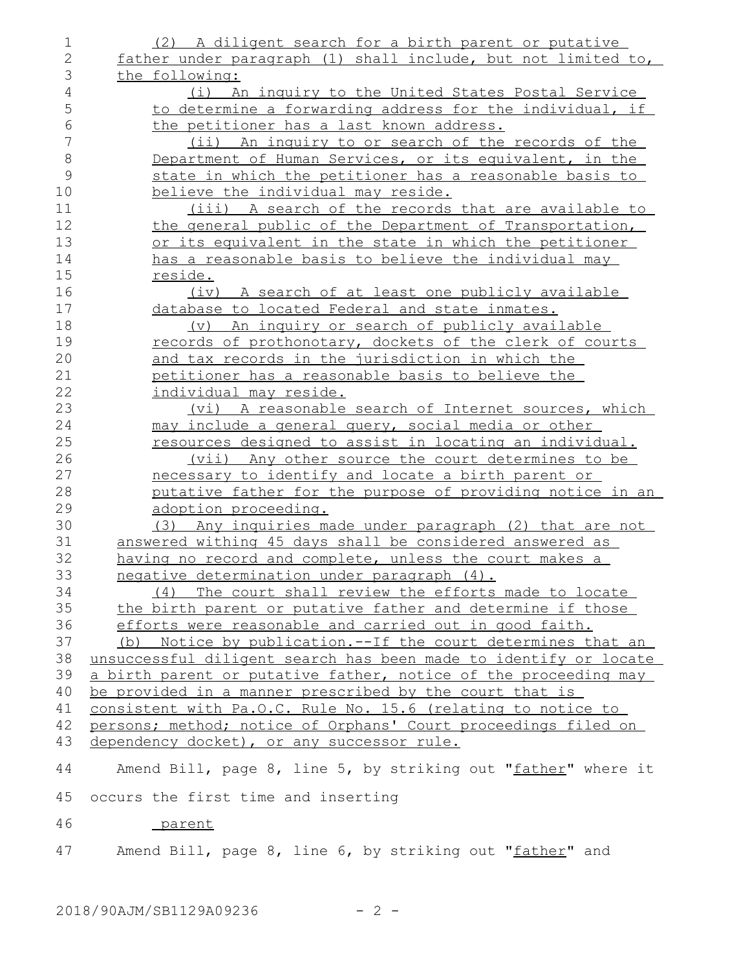| 1              | (2) A diligent search for a birth parent or putative             |
|----------------|------------------------------------------------------------------|
| $\mathbf{2}$   | father under paragraph (1) shall include, but not limited to,    |
| 3              | the following:                                                   |
| 4              | (i) An inquiry to the United States Postal Service               |
| 5              | to determine a forwarding address for the individual, if         |
| 6              | the petitioner has a last known address.                         |
| $\overline{7}$ | An inquiry to or search of the records of the<br>$(i$ ii)        |
| 8              | Department of Human Services, or its equivalent, in the          |
| $\mathcal{G}$  | state in which the petitioner has a reasonable basis to          |
| 10             | believe the individual may reside.                               |
| 11             | (iii) A search of the records that are available to              |
| 12             | the general public of the Department of Transportation,          |
| 13             | or its equivalent in the state in which the petitioner           |
| 14             | has a reasonable basis to believe the individual may             |
| 15             | reside.                                                          |
| 16             | (iv) A search of at least one publicly available                 |
| 17             | database to located Federal and state inmates.                   |
| 18             | (v) An inquiry or search of publicly available                   |
| 19             | records of prothonotary, dockets of the clerk of courts          |
| 20             | and tax records in the jurisdiction in which the                 |
| 21             | petitioner has a reasonable basis to believe the                 |
| 22             | <u>individual may reside.</u>                                    |
| 23             | (vi) A reasonable search of Internet sources, which              |
| 24             | may include a general query, social media or other               |
| 25             | resources designed to assist in locating an individual.          |
| 26             | (vii) Any other source the court determines to be                |
| 27             | necessary to identify and locate a birth parent or               |
| 28             | putative father for the purpose of providing notice in an        |
| 29             | adoption proceeding.                                             |
| 30             | (3) Any inquiries made under paragraph (2) that are not          |
| 31             | answered withing 45 days shall be considered answered as         |
| 32             | having no record and complete, unless the court makes a          |
| 33             | negative determination under paragraph (4).                      |
| 34             | The court shall review the efforts made to locate<br>(4)         |
| 35             | the birth parent or putative father and determine if those       |
| 36             | efforts were reasonable and carried out in good faith.           |
| 37             | Notice by publication.--If the court determines that an<br>(b)   |
| 38             | unsuccessful diligent search has been made to identify or locate |
| 39             | a birth parent or putative father, notice of the proceeding may  |
| 40             | be provided in a manner prescribed by the court that is          |
| 41             | consistent with Pa.O.C. Rule No. 15.6 (relating to notice to     |
| 42             | persons; method; notice of Orphans' Court proceedings filed on   |
| 43             | dependency docket), or any successor rule.                       |
| 44             | Amend Bill, page 8, line 5, by striking out "father" where it    |
| 45             | occurs the first time and inserting                              |
| 46             | parent                                                           |
|                |                                                                  |
| 47             | Amend Bill, page 8, line 6, by striking out "father" and         |
|                |                                                                  |